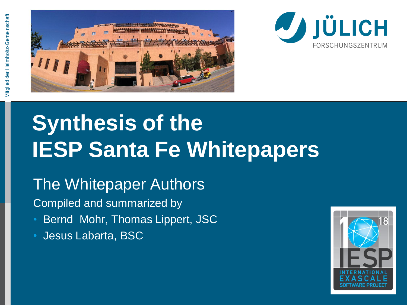



# **Synthesis of the IESP Santa Fe Whitepapers**

The Whitepaper Authors

Compiled and summarized by

• Bernd Mohr, Thomas Lippert, JSC

• Jesus Labarta, BSC

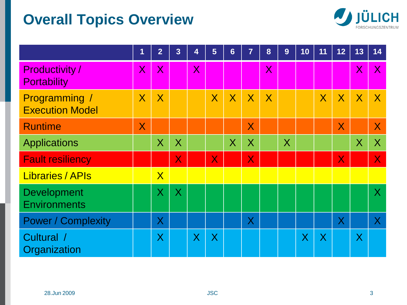## **Overall Topics Overview**



|                                           | 1                       | $\overline{2}$          | 3                       | 4              | 5                       | $6\phantom{1}$ | $\overline{7}$          | 8                       | 9              | 10      | 11 | 12 <sub>2</sub> | 13                      | 14             |
|-------------------------------------------|-------------------------|-------------------------|-------------------------|----------------|-------------------------|----------------|-------------------------|-------------------------|----------------|---------|----|-----------------|-------------------------|----------------|
| <b>Productivity/</b><br>Portability       | $\overline{\mathsf{X}}$ | $\overline{\mathsf{X}}$ |                         | $\overline{X}$ |                         |                |                         | $\overline{\mathsf{X}}$ |                |         |    |                 | $\overline{\mathsf{X}}$ | $\overline{X}$ |
| Programming /<br><b>Execution Model</b>   | $\sf X$                 | $\overline{\mathsf{X}}$ |                         |                | $\overline{X}$          | X              | $\sf X$                 | $\sf X$                 |                |         | X  | X               | $\sf X$                 | $\mathsf{X}$   |
| <b>Runtime</b>                            | $\mathsf{X}$            |                         |                         |                |                         |                | $\overline{\mathsf{X}}$ |                         |                |         |    | $\mathsf{X}$    |                         | $\mathsf{X}$   |
| <b>Applications</b>                       |                         | $\overline{\mathsf{X}}$ | $\overline{X}$          |                |                         | $\sf X$        | $\sf X$                 |                         | $\overline{X}$ |         |    |                 | $\sf X$                 | X              |
| <b>Fault resiliency</b>                   |                         |                         | $\overline{\mathsf{X}}$ |                | $\overline{\mathsf{X}}$ |                | $\overline{\mathsf{X}}$ |                         |                |         |    | $\mathsf{X}$    |                         | $\mathsf{X}$   |
| <b>Libraries / APIs</b>                   |                         | $\mathsf{X}$            |                         |                |                         |                |                         |                         |                |         |    |                 |                         |                |
| <b>Development</b><br><b>Environments</b> |                         | $\sf X$                 | $\sf X$                 |                |                         |                |                         |                         |                |         |    |                 |                         | $\sf X$        |
| <b>Power / Complexity</b>                 |                         | $\sf X$                 |                         |                |                         |                | $\sf X$                 |                         |                |         |    | X               |                         | $\sf X$        |
| Cultural /<br>Organization                |                         | $\sf X$                 |                         | $\sf X$        | X                       |                |                         |                         |                | $\sf X$ | X  |                 | $\sf X$                 |                |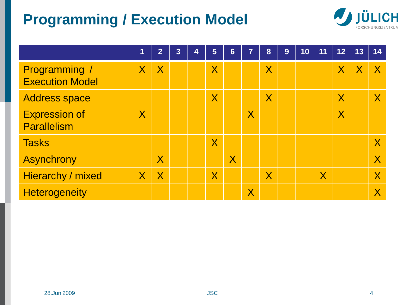## **Programming / Execution Model**



|                                            | $\mathbf 1$             | $\overline{2}$          | 3 | 4 | 5                       | 6                       | 7                       | 8                       | 9 | 10 | 11                      | 12                      | 13 | 14                      |
|--------------------------------------------|-------------------------|-------------------------|---|---|-------------------------|-------------------------|-------------------------|-------------------------|---|----|-------------------------|-------------------------|----|-------------------------|
| Programming /<br><b>Execution Model</b>    | $\overline{\mathsf{X}}$ | $\sf X$                 |   |   | $\sf X$                 |                         |                         | $\sf X$                 |   |    |                         | $\sf X$                 |    |                         |
| <b>Address space</b>                       |                         |                         |   |   | $\overline{\mathsf{X}}$ |                         |                         | $\overline{\mathsf{X}}$ |   |    |                         | $\sf X$                 |    | $\sf X$                 |
| <b>Expression of</b><br><b>Parallelism</b> | $\overline{\mathsf{X}}$ |                         |   |   |                         |                         | $\sf X$                 |                         |   |    |                         | $\overline{\mathsf{X}}$ |    |                         |
| <b>Tasks</b>                               |                         |                         |   |   | $\sf X$                 |                         |                         |                         |   |    |                         |                         |    | $\sf X$                 |
| <b>Asynchrony</b>                          |                         | $\overline{\sf X}$      |   |   |                         | $\overline{\mathsf{X}}$ |                         |                         |   |    |                         |                         |    | $\overline{\mathsf{X}}$ |
| Hierarchy / mixed                          | $\overline{\mathsf{X}}$ | $\overline{\mathsf{X}}$ |   |   | $\overline{\mathsf{X}}$ |                         |                         | $\overline{\mathsf{X}}$ |   |    | $\overline{\mathsf{X}}$ |                         |    | $\sf X$                 |
| <b>Heterogeneity</b>                       |                         |                         |   |   |                         |                         | $\overline{\mathsf{X}}$ |                         |   |    |                         |                         |    | X                       |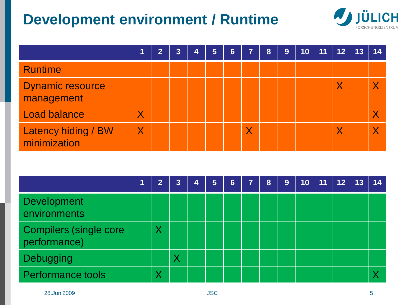## **Development environment / Runtime**



|                                       |                         | $\overline{2}$ | 3 | 4 | 5 | $6\phantom{1}$ | 7                       | 8 | 9 | 10 | 11 | 12      | 13 | 14                      |
|---------------------------------------|-------------------------|----------------|---|---|---|----------------|-------------------------|---|---|----|----|---------|----|-------------------------|
| <b>Runtime</b>                        |                         |                |   |   |   |                |                         |   |   |    |    |         |    |                         |
| <b>Dynamic resource</b><br>management |                         |                |   |   |   |                |                         |   |   |    |    | $\sf X$ |    |                         |
| Load balance                          | $\overline{\mathsf{X}}$ |                |   |   |   |                |                         |   |   |    |    |         |    |                         |
| Latency hiding / BW<br>minimization   | $\overline{\mathsf{X}}$ |                |   |   |   |                | $\overline{\mathsf{X}}$ |   |   |    |    |         |    | $\overline{\mathsf{X}}$ |

|                                               | $\overline{2}$ | $\overline{3}$ | 4 | $\overline{5}$ | 6 | <b>17</b> | 8 | 9 | 10 | 11 | 12 | 13 | 14 |
|-----------------------------------------------|----------------|----------------|---|----------------|---|-----------|---|---|----|----|----|----|----|
| <b>Development</b><br>environments            |                |                |   |                |   |           |   |   |    |    |    |    |    |
| <b>Compilers (single core</b><br>performance) | $\sf X$        |                |   |                |   |           |   |   |    |    |    |    |    |
| <b>Debugging</b>                              |                |                |   |                |   |           |   |   |    |    |    |    |    |
| <b>Performance tools</b>                      | Χ              |                |   |                |   |           |   |   |    |    |    |    |    |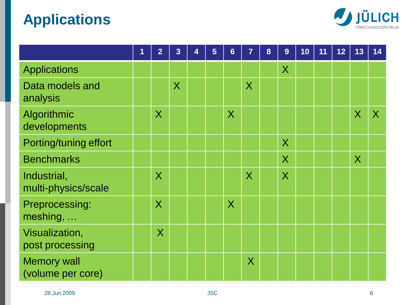## **Applications**



|                                         | $\blacksquare$ | $\overline{2}$          | $\overline{3}$ | 4 | 5 | $6\phantom{1}6$         | 7                       | 8 | 9                       | 10 | 11 | 12 | 13      | 14             |
|-----------------------------------------|----------------|-------------------------|----------------|---|---|-------------------------|-------------------------|---|-------------------------|----|----|----|---------|----------------|
| <b>Applications</b>                     |                |                         |                |   |   |                         |                         |   | $\sf X$                 |    |    |    |         |                |
| Data models and<br>analysis             |                |                         | $\sf X$        |   |   |                         | $\sf X$                 |   |                         |    |    |    |         |                |
| Algorithmic<br>developments             |                | $\sf X$                 |                |   |   | $\sf X$                 |                         |   |                         |    |    |    | $\sf X$ | $\overline{X}$ |
| Porting/tuning effort                   |                |                         |                |   |   |                         |                         |   | $\overline{\mathsf{X}}$ |    |    |    |         |                |
| <b>Benchmarks</b>                       |                |                         |                |   |   |                         |                         |   | $\overline{\mathsf{X}}$ |    |    |    | $\sf X$ |                |
| Industrial,<br>multi-physics/scale      |                | $\overline{\mathsf{X}}$ |                |   |   |                         | $\overline{\mathsf{X}}$ |   | $\overline{\mathsf{X}}$ |    |    |    |         |                |
| Preprocessing:<br>meshing,              |                | $\overline{\mathsf{X}}$ |                |   |   | $\overline{\mathsf{X}}$ |                         |   |                         |    |    |    |         |                |
| Visualization,<br>post processing       |                | $\overline{\mathsf{X}}$ |                |   |   |                         |                         |   |                         |    |    |    |         |                |
| <b>Memory wall</b><br>(volume per core) |                |                         |                |   |   |                         | $\sf X$                 |   |                         |    |    |    |         |                |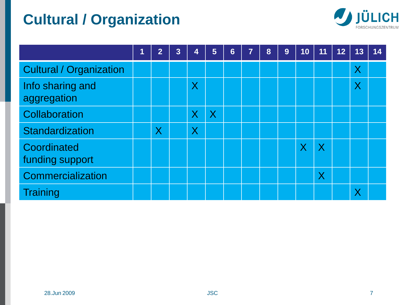## **Cultural / Organization**



|                                 | 1 | 2                       | 3 | $\overline{4}$          | 5                       | $6\phantom{1}$ | $\overline{7}$ | 8 | 9 | 10                      | 11             | 12 | 13      | 14 |
|---------------------------------|---|-------------------------|---|-------------------------|-------------------------|----------------|----------------|---|---|-------------------------|----------------|----|---------|----|
| <b>Cultural / Organization</b>  |   |                         |   |                         |                         |                |                |   |   |                         |                |    | $\sf X$ |    |
| Info sharing and<br>aggregation |   |                         |   | $\sf X$                 |                         |                |                |   |   |                         |                |    | $\sf X$ |    |
| Collaboration                   |   |                         |   | $\overline{\mathsf{X}}$ | $\overline{\mathsf{X}}$ |                |                |   |   |                         |                |    |         |    |
| Standardization                 |   | $\overline{\mathsf{X}}$ |   | $\overline{\mathsf{X}}$ |                         |                |                |   |   |                         |                |    |         |    |
| Coordinated<br>funding support  |   |                         |   |                         |                         |                |                |   |   | $\overline{\mathsf{X}}$ | $\overline{X}$ |    |         |    |
| Commercialization               |   |                         |   |                         |                         |                |                |   |   |                         | Χ              |    |         |    |
| <b>Training</b>                 |   |                         |   |                         |                         |                |                |   |   |                         |                |    |         |    |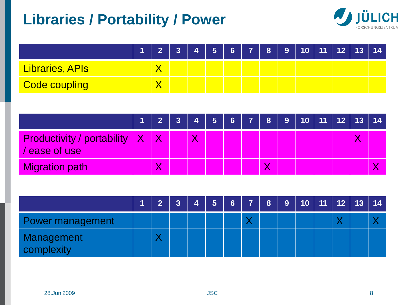## **Libraries / Portability / Power**



|                 | $\overline{2}$ | 3 <sup>1</sup> |  |  | │ 4 │ 5 │ 6 │ 7 │ 8 │ 9 │10 │11 │12 │13 │14 │ |  |  |  |
|-----------------|----------------|----------------|--|--|-----------------------------------------------|--|--|--|
| Libraries, APIs |                |                |  |  |                                               |  |  |  |
| Code coupling   |                |                |  |  |                                               |  |  |  |

|                                                      |   |   | 1   2   3   4   5   6   7   8   9   10   11   12   13   14 |   |  |  |  |
|------------------------------------------------------|---|---|------------------------------------------------------------|---|--|--|--|
| <b>Productivity / portability X</b><br>/ ease of use |   | Χ |                                                            |   |  |  |  |
| <b>Migration path</b>                                | Χ |   |                                                            | Х |  |  |  |

|                          | $\overline{2}$ | $\overline{3}$ | 47 | 5 <sub>1</sub> |  |  | 6 7 8 9 10 11 12 13 14 |  |  |
|--------------------------|----------------|----------------|----|----------------|--|--|------------------------|--|--|
| Power management         |                |                |    |                |  |  |                        |  |  |
| Management<br>complexity | ↗              |                |    |                |  |  |                        |  |  |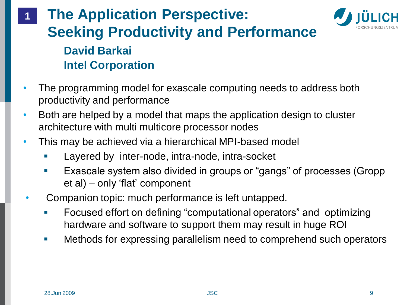### **The Application Perspective: Seeking Productivity and Performance David Barkai Intel Corporation 1**



- Both are helped by a model that maps the application design to cluster architecture with multi multicore processor nodes
- This may be achieved via a hierarchical MPI-based model
	- Layered by inter-node, intra-node, intra-socket
	- Exascale system also divided in groups or "gangs" of processes (Gropp et al) – only 'flat' component
- Companion topic: much performance is left untapped.
	- Focused effort on defining "computational operators" and optimizing hardware and software to support them may result in huge ROI
	- **Methods for expressing parallelism need to comprehend such operators**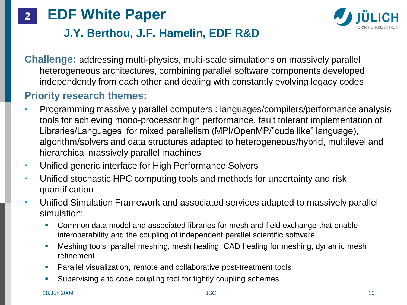



### **J.Y. Berthou, J.F. Hamelin, EDF R&D**

**Challenge:** addressing multi-physics, multi-scale simulations on massively parallel heterogeneous architectures, combining parallel software components developed independently from each other and dealing with constantly evolving legacy codes

### **Priority research themes:**

- Programming massively parallel computers : languages/compilers/performance analysis tools for achieving mono-processor high performance, fault tolerant implementation of Libraries/Languages for mixed parallelism (MPI/OpenMP/"cuda like" language), algorithm/solvers and data structures adapted to heterogeneous/hybrid, multilevel and hierarchical massively parallel machines
- Unified generic interface for High Performance Solvers
- Unified stochastic HPC computing tools and methods for uncertainty and risk quantification
- Unified Simulation Framework and associated services adapted to massively parallel simulation:
	- Common data model and associated libraries for mesh and field exchange that enable interoperability and the coupling of independent parallel scientific software
	- Meshing tools: parallel meshing, mesh healing, CAD healing for meshing, dynamic mesh refinement
	- Parallel visualization, remote and collaborative post-treatment tools
	- Supervising and code coupling tool for tightly coupling schemes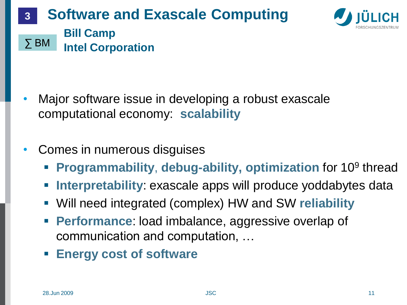#### **Software and Exascale Computing Bill Camp Intel Corporation 3** ∑ BM



- Major software issue in developing a robust exascale computational economy: **scalability**
- Comes in numerous disguises
	- **Programmability, debug-ability, optimization for 10<sup>9</sup> thread**
	- **Interpretability**: exascale apps will produce yoddabytes data
	- Will need integrated (complex) HW and SW **reliability**
	- **Performance:** load imbalance, aggressive overlap of communication and computation, …
	- **Energy cost of software**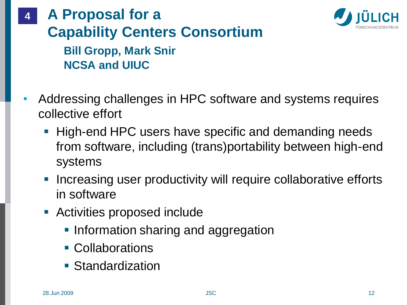### **A Proposal for a Capability Centers Consortium Bill Gropp, Mark Snir NCSA and UIUC 4**



- **High-end HPC users have specific and demanding needs** from software, including (trans)portability between high-end systems
- **Increasing user productivity will require collaborative efforts** in software
- **Activities proposed include** 
	- **Information sharing and aggregation**
	- Collaborations
	- **Standardization**

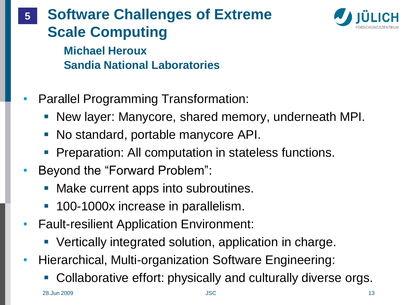## **Software Challenges of Extreme Scale Computing 5**



**Michael Heroux Sandia National Laboratories**

- Parallel Programming Transformation:
	- **New layer: Manycore, shared memory, underneath MPI.**
	- No standard, portable manycore API.
	- **Preparation: All computation in stateless functions.**
- Beyond the "Forward Problem":
	- **Make current apps into subroutines.**
	- **100-1000x increase in parallelism.**
- Fault-resilient Application Environment:
	- Vertically integrated solution, application in charge.
- Hierarchical, Multi-organization Software Engineering:
	- Collaborative effort: physically and culturally diverse orgs.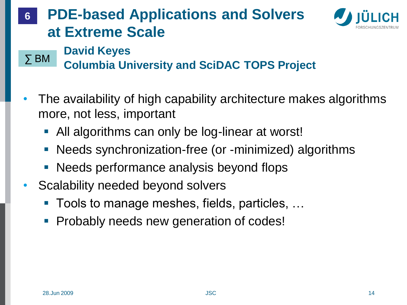### **PDE-based Applications and Solvers at Extreme Scale 6**



## **David Keyes**

**Columbia University and SciDAC TOPS Project** ∑ BM

- The availability of high capability architecture makes algorithms more, not less, important
	- All algorithms can only be log-linear at worst!
	- Needs synchronization-free (or -minimized) algorithms
	- **Needs performance analysis beyond flops**
- Scalability needed beyond solvers
	- Tools to manage meshes, fields, particles, ...
	- Probably needs new generation of codes!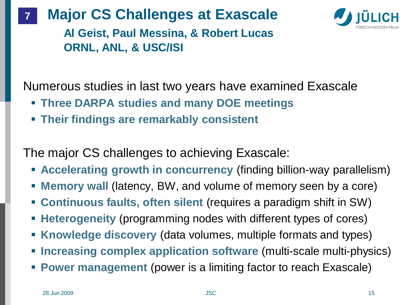#### **Major CS Challenges at Exascale 7**



**Al Geist, Paul Messina, & Robert Lucas ORNL, ANL, & USC/ISI**

Numerous studies in last two years have examined Exascale

- **Three DARPA studies and many DOE meetings**
- **Their findings are remarkably consistent**

The major CS challenges to achieving Exascale:

- **Accelerating growth in concurrency** (finding billion-way parallelism)
- **Memory wall** (latency, BW, and volume of memory seen by a core)
- **Continuous faults, often silent** (requires a paradigm shift in SW)
- **Heterogeneity** (programming nodes with different types of cores)
- **Knowledge discovery** (data volumes, multiple formats and types)
- **Increasing complex application software (multi-scale multi-physics)**
- **Power management** (power is a limiting factor to reach Exascale)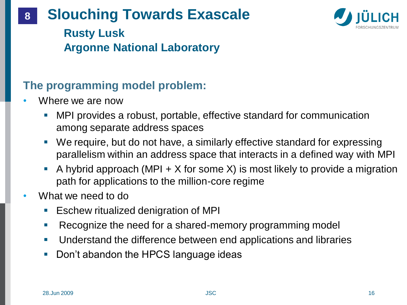#### **Slouching Towards Exascale 8**



**Rusty Lusk Argonne National Laboratory**

## **The programming model problem:**

- Where we are now
	- MPI provides a robust, portable, effective standard for communication among separate address spaces
	- We require, but do not have, a similarly effective standard for expressing parallelism within an address space that interacts in a defined way with MPI
	- A hybrid approach (MPI  $+ X$  for some X) is most likely to provide a migration path for applications to the million-core regime
- What we need to do
	- Eschew ritualized denigration of MPI
	- Recognize the need for a shared-memory programming model
	- **Understand the difference between end applications and libraries**
	- Don't abandon the HPCS language ideas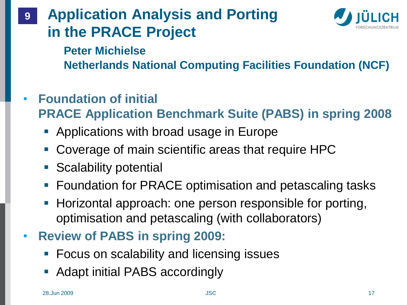### **Application Analysis and Porting in the PRACE Project 9**



**Peter Michielse Netherlands National Computing Facilities Foundation (NCF)**

- **Foundation of initial PRACE Application Benchmark Suite (PABS) in spring 2008**
	- **Applications with broad usage in Europe**
	- Coverage of main scientific areas that require HPC
	- **Scalability potential**
	- **F** Foundation for PRACE optimisation and petascaling tasks
	- **Horizontal approach: one person responsible for porting,** optimisation and petascaling (with collaborators)
- **Review of PABS in spring 2009:**
	- **Focus on scalability and licensing issues**
	- **Adapt initial PABS accordingly**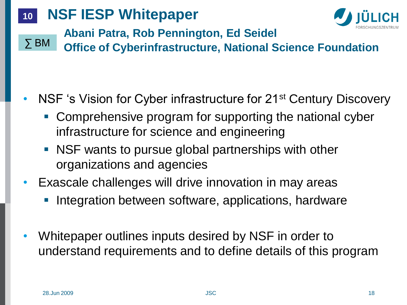#### **NSF IESP Whitepaper 10**



**Abani Patra, Rob Pennington, Ed Seidel**

**Office of Cyberinfrastructure, National Science Foundation** ∑ BM

## NSF 's Vision for Cyber infrastructure for 21<sup>st</sup> Century Discovery

- **Comprehensive program for supporting the national cyber** infrastructure for science and engineering
- NSF wants to pursue global partnerships with other organizations and agencies
- Exascale challenges will drive innovation in may areas
	- Integration between software, applications, hardware
- Whitepaper outlines inputs desired by NSF in order to understand requirements and to define details of this program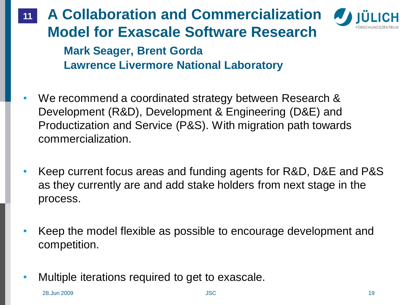### **A Collaboration and Commercialization Model for Exascale Software Research 11**



**Mark Seager, Brent Gorda Lawrence Livermore National Laboratory**

- We recommend a coordinated strategy between Research & Development (R&D), Development & Engineering (D&E) and Productization and Service (P&S). With migration path towards commercialization.
- Keep current focus areas and funding agents for R&D, D&E and P&S as they currently are and add stake holders from next stage in the process.
- Keep the model flexible as possible to encourage development and competition.
- Multiple iterations required to get to exascale.

28.Jun 2009 JSC 19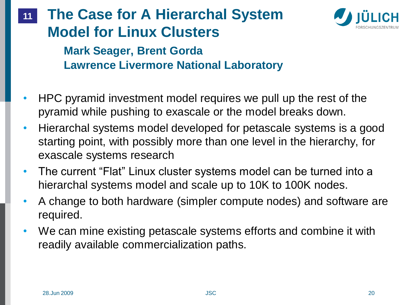

### **The Case for A Hierarchal System Model for Linux Clusters 11**

**Mark Seager, Brent Gorda Lawrence Livermore National Laboratory**

- HPC pyramid investment model requires we pull up the rest of the pyramid while pushing to exascale or the model breaks down.
- Hierarchal systems model developed for petascale systems is a good starting point, with possibly more than one level in the hierarchy, for exascale systems research
- The current "Flat" Linux cluster systems model can be turned into a hierarchal systems model and scale up to 10K to 100K nodes.
- A change to both hardware (simpler compute nodes) and software are required.
- We can mine existing petascale systems efforts and combine it with readily available commercialization paths.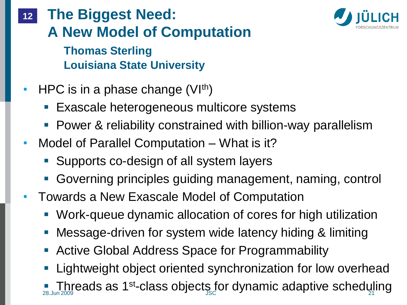**The Biggest Need: A New Model of Computation Thomas Sterling Louisiana State University 12**

- HPC is in a phase change  $(VI<sup>th</sup>)$ 
	- Exascale heterogeneous multicore systems
	- **Power & reliability constrained with billion-way parallelism**
- Model of Parallel Computation What is it?
	- Supports co-design of all system layers
	- Governing principles guiding management, naming, control
- Towards a New Exascale Model of Computation
	- Work-queue dynamic allocation of cores for high utilization
	- **Nessage-driven for system wide latency hiding & limiting**
	- Active Global Address Space for Programmability
	- Lightweight object oriented synchronization for low overhead

**Interadent as 1st-class objects for dynamic adaptive scheduling** 

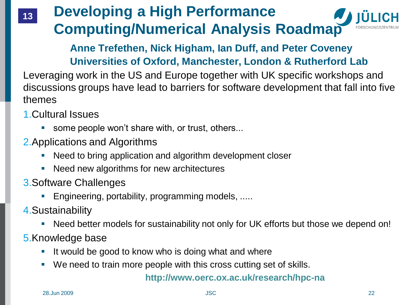## **Developing a High Performance Computing/Numerical Analysis Roadmap**

### **Anne Trefethen, Nick Higham, Ian Duff, and Peter Coveney Universities of Oxford, Manchester, London & Rutherford Lab**

Leveraging work in the US and Europe together with UK specific workshops and discussions groups have lead to barriers for software development that fall into five themes

1.Cultural Issues

**13**

- some people won't share with, or trust, others...
- 2.Applications and Algorithms
	- Need to bring application and algorithm development closer
	- Need new algorithms for new architectures
- 3.Software Challenges
	- Engineering, portability, programming models, .....
- 4.Sustainability
	- Need better models for sustainability not only for UK efforts but those we depend on!
- 5.Knowledge base
	- If would be good to know who is doing what and where
	- We need to train more people with this cross cutting set of skills.

#### **http://www.oerc.ox.ac.uk/research/hpc-na**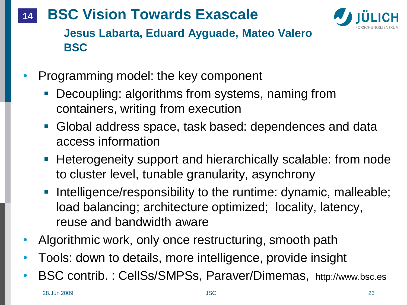#### **BSC Vision Towards Exascale 14**



**Jesus Labarta, Eduard Ayguade, Mateo Valero BSC**

- Programming model: the key component
	- **Decoupling: algorithms from systems, naming from** containers, writing from execution
	- Global address space, task based: dependences and data access information
	- **Heterogeneity support and hierarchically scalable: from node** to cluster level, tunable granularity, asynchrony
	- Intelligence/responsibility to the runtime: dynamic, malleable; load balancing; architecture optimized; locality, latency, reuse and bandwidth aware
- Algorithmic work, only once restructuring, smooth path
- Tools: down to details, more intelligence, provide insight
- BSC contrib. : CellSs/SMPSs, Paraver/Dimemas, http://www.bsc.es